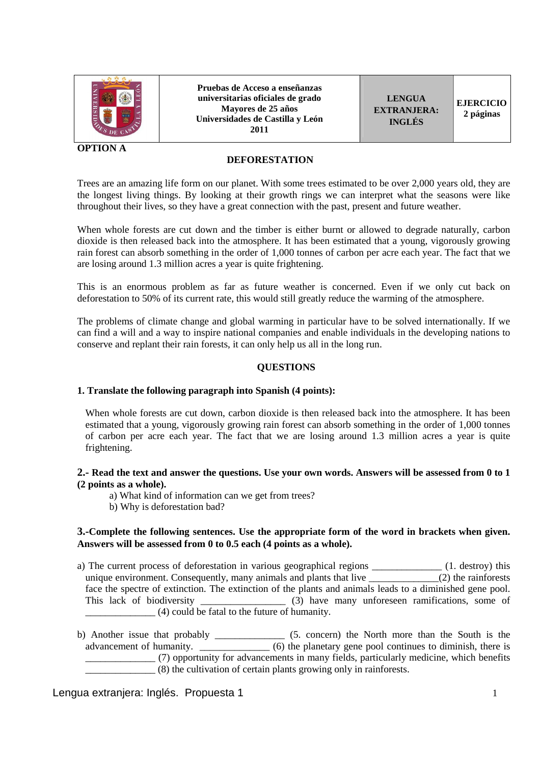

**OPTION A** 

**Pruebas de Acceso a enseñanzas universitarias oficiales de grado Mayores de 25 años Universidades de Castilla y León 2011** 

**LENGUA EXTRANJERA: INGLÉS** 

#### **DEFORESTATION**

Trees are an amazing life form on our planet. With some trees estimated to be over 2,000 years old, they are the longest living things. By looking at their growth rings we can interpret what the seasons were like throughout their lives, so they have a great connection with the past, present and future weather.

When whole forests are cut down and the timber is either burnt or allowed to degrade naturally, carbon dioxide is then released back into the atmosphere. It has been estimated that a young, vigorously growing rain forest can absorb something in the order of 1,000 tonnes of carbon per acre each year. The fact that we are losing around 1.3 million acres a year is quite frightening.

This is an enormous problem as far as future weather is concerned. Even if we only cut back on deforestation to 50% of its current rate, this would still greatly reduce the warming of the atmosphere.

The problems of climate change and global warming in particular have to be solved internationally. If we can find a will and a way to inspire national companies and enable individuals in the developing nations to conserve and replant their rain forests, it can only help us all in the long run.

### **QUESTIONS**

#### **1. Translate the following paragraph into Spanish (4 points):**

When whole forests are cut down, carbon dioxide is then released back into the atmosphere. It has been estimated that a young, vigorously growing rain forest can absorb something in the order of 1,000 tonnes of carbon per acre each year. The fact that we are losing around 1.3 million acres a year is quite frightening.

### **2.- Read the text and answer the questions. Use your own words. Answers will be assessed from 0 to 1 (2 points as a whole).**

- a) What kind of information can we get from trees?
- b) Why is deforestation bad?

#### **3.-Complete the following sentences. Use the appropriate form of the word in brackets when given. Answers will be assessed from 0 to 0.5 each (4 points as a whole).**

- a) The current process of deforestation in various geographical regions \_\_\_\_\_\_\_\_\_\_\_\_\_\_ (1. destroy) this unique environment. Consequently, many animals and plants that live \_\_\_\_\_\_\_\_\_\_\_\_\_\_\_\_\_(2) the rainforests face the spectre of extinction. The extinction of the plants and animals leads to a diminished gene pool. This lack of biodiversity  $(3)$  have many unforeseen ramifications, some of \_\_\_\_\_\_\_\_\_\_\_\_\_\_ (4) could be fatal to the future of humanity.
- b) Another issue that probably \_\_\_\_\_\_\_\_\_\_\_\_\_\_ (5. concern) the North more than the South is the advancement of humanity. \_\_\_\_\_\_\_\_\_\_\_\_\_\_\_ (6) the planetary gene pool continues to diminish, there is \_\_\_\_\_\_\_\_\_\_\_\_\_\_ (7) opportunity for advancements in many fields, particularly medicine, which benefits \_\_\_\_\_\_\_\_\_\_\_\_\_\_ (8) the cultivation of certain plants growing only in rainforests.

#### Lengua extranjera: Inglés. Propuesta 1 1